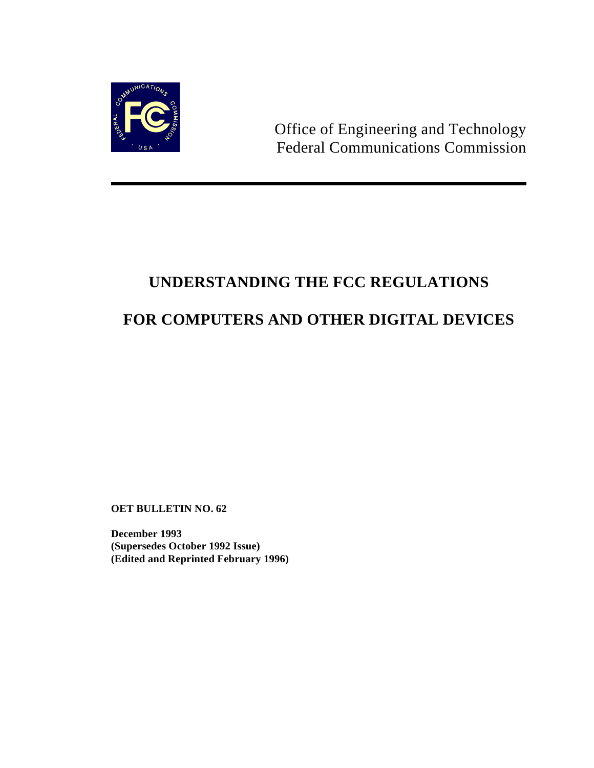

Office of Engineering and Technology Federal Communications Commission

# **UNDERSTANDING THE FCC REGULATIONS FOR COMPUTERS AND OTHER DIGITAL DEVICES**

**OET BULLETIN NO. 62**

**December 1993 (Supersedes October 1992 Issue) (Edited and Reprinted February 1996)**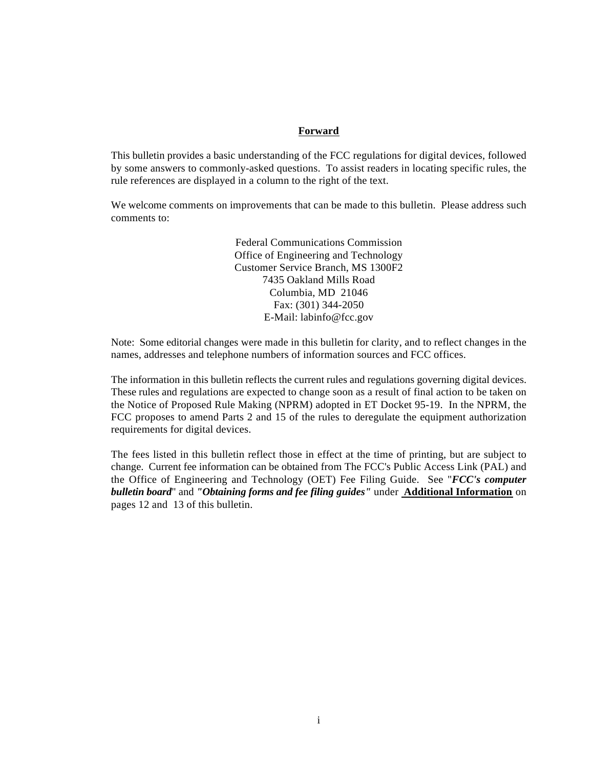#### **Forward**

This bulletin provides a basic understanding of the FCC regulations for digital devices, followed by some answers to commonly-asked questions. To assist readers in locating specific rules, the rule references are displayed in a column to the right of the text.

We welcome comments on improvements that can be made to this bulletin. Please address such comments to:

> Federal Communications Commission Office of Engineering and Technology Customer Service Branch, MS 1300F2 7435 Oakland Mills Road Columbia, MD 21046 Fax: (301) 344-2050 E-Mail: labinfo@fcc.gov

Note: Some editorial changes were made in this bulletin for clarity, and to reflect changes in the names, addresses and telephone numbers of information sources and FCC offices.

The information in this bulletin reflects the current rules and regulations governing digital devices. These rules and regulations are expected to change soon as a result of final action to be taken on the Notice of Proposed Rule Making (NPRM) adopted in ET Docket 95-19. In the NPRM, the FCC proposes to amend Parts 2 and 15 of the rules to deregulate the equipment authorization requirements for digital devices.

The fees listed in this bulletin reflect those in effect at the time of printing, but are subject to change. Current fee information can be obtained from The FCC's Public Access Link (PAL) and the Office of Engineering and Technology (OET) Fee Filing Guide. See "*FCC's computer bulletin board*" and *"Obtaining forms and fee filing guides"* under **Additional Information** on pages 12 and 13 of this bulletin.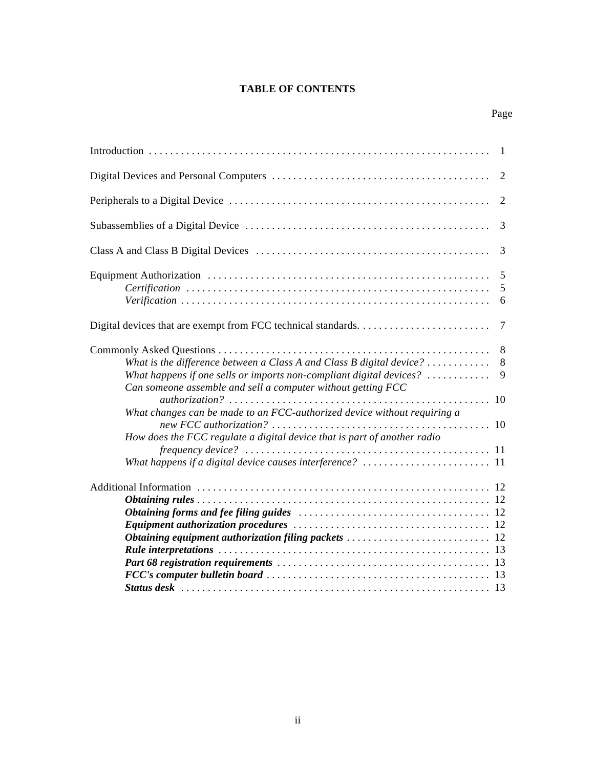## **TABLE OF CONTENTS**

|                                                                                                                                                                                                                                                           | 3           |
|-----------------------------------------------------------------------------------------------------------------------------------------------------------------------------------------------------------------------------------------------------------|-------------|
|                                                                                                                                                                                                                                                           | 3           |
| $\textit{Certification}\; \ldots \ldots \ldots \ldots \ldots \ldots \ldots \ldots \ldots \ldots \ldots \ldots \ldots$                                                                                                                                     | 5<br>6      |
|                                                                                                                                                                                                                                                           |             |
| What is the difference between a Class A and Class B digital device? $\ldots \ldots \ldots$<br>What happens if one sells or imports non-compliant digital devices? $\dots\dots\dots\dots$<br>Can someone assemble and sell a computer without getting FCC | 8<br>8<br>9 |
| What changes can be made to an FCC-authorized device without requiring a<br>How does the FCC regulate a digital device that is part of another radio                                                                                                      |             |
|                                                                                                                                                                                                                                                           |             |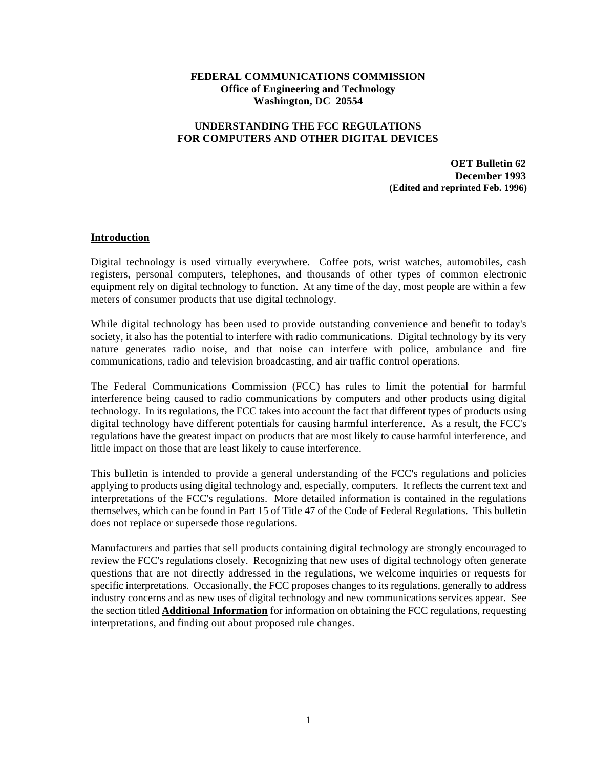## **FEDERAL COMMUNICATIONS COMMISSION Office of Engineering and Technology Washington, DC 20554**

## **UNDERSTANDING THE FCC REGULATIONS FOR COMPUTERS AND OTHER DIGITAL DEVICES**

**OET Bulletin 62 December 1993 (Edited and reprinted Feb. 1996)**

#### **Introduction**

Digital technology is used virtually everywhere. Coffee pots, wrist watches, automobiles, cash registers, personal computers, telephones, and thousands of other types of common electronic equipment rely on digital technology to function. At any time of the day, most people are within a few meters of consumer products that use digital technology.

While digital technology has been used to provide outstanding convenience and benefit to today's society, it also has the potential to interfere with radio communications. Digital technology by its very nature generates radio noise, and that noise can interfere with police, ambulance and fire communications, radio and television broadcasting, and air traffic control operations.

The Federal Communications Commission (FCC) has rules to limit the potential for harmful interference being caused to radio communications by computers and other products using digital technology. In its regulations, the FCC takes into account the fact that different types of products using digital technology have different potentials for causing harmful interference. As a result, the FCC's regulations have the greatest impact on products that are most likely to cause harmful interference, and little impact on those that are least likely to cause interference.

This bulletin is intended to provide a general understanding of the FCC's regulations and policies applying to products using digital technology and, especially, computers. It reflects the current text and interpretations of the FCC's regulations. More detailed information is contained in the regulations themselves, which can be found in Part 15 of Title 47 of the Code of Federal Regulations. This bulletin does not replace or supersede those regulations.

Manufacturers and parties that sell products containing digital technology are strongly encouraged to review the FCC's regulations closely. Recognizing that new uses of digital technology often generate questions that are not directly addressed in the regulations, we welcome inquiries or requests for specific interpretations. Occasionally, the FCC proposes changes to its regulations, generally to address industry concerns and as new uses of digital technology and new communications services appear. See the section titled **Additional Information** for information on obtaining the FCC regulations, requesting interpretations, and finding out about proposed rule changes.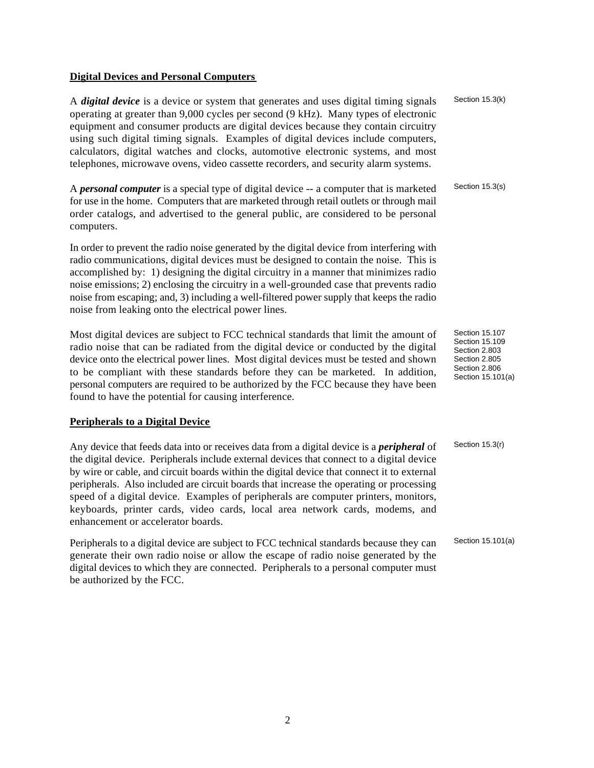#### **Digital Devices and Personal Computers**

A *digital device* is a device or system that generates and uses digital timing signals operating at greater than 9,000 cycles per second (9 kHz). Many types of electronic equipment and consumer products are digital devices because they contain circuitry using such digital timing signals. Examples of digital devices include computers, calculators, digital watches and clocks, automotive electronic systems, and most telephones, microwave ovens, video cassette recorders, and security alarm systems.

A *personal computer* is a special type of digital device -- a computer that is marketed for use in the home. Computers that are marketed through retail outlets or through mail order catalogs, and advertised to the general public, are considered to be personal computers.

In order to prevent the radio noise generated by the digital device from interfering with radio communications, digital devices must be designed to contain the noise. This is accomplished by: 1) designing the digital circuitry in a manner that minimizes radio noise emissions; 2) enclosing the circuitry in a well-grounded case that prevents radio noise from escaping; and, 3) including a well-filtered power supply that keeps the radio noise from leaking onto the electrical power lines.

Most digital devices are subject to FCC technical standards that limit the amount of radio noise that can be radiated from the digital device or conducted by the digital device onto the electrical power lines. Most digital devices must be tested and shown to be compliant with these standards before they can be marketed. In addition, personal computers are required to be authorized by the FCC because they have been found to have the potential for causing interference.

### **Peripherals to a Digital Device**

Any device that feeds data into or receives data from a digital device is a *peripheral* of the digital device. Peripherals include external devices that connect to a digital device by wire or cable, and circuit boards within the digital device that connect it to external peripherals. Also included are circuit boards that increase the operating or processing speed of a digital device. Examples of peripherals are computer printers, monitors, keyboards, printer cards, video cards, local area network cards, modems, and enhancement or accelerator boards. Section 15.3(r)

Peripherals to a digital device are subject to FCC technical standards because they can generate their own radio noise or allow the escape of radio noise generated by the digital devices to which they are connected. Peripherals to a personal computer must be authorized by the FCC.

Section 15.3(k)

Section 15.3(s)

Section 15.107 Section 15.109 Section 2.803 Section 2.805 Section 2.806 Section 15.101(a)

Section 15.101(a)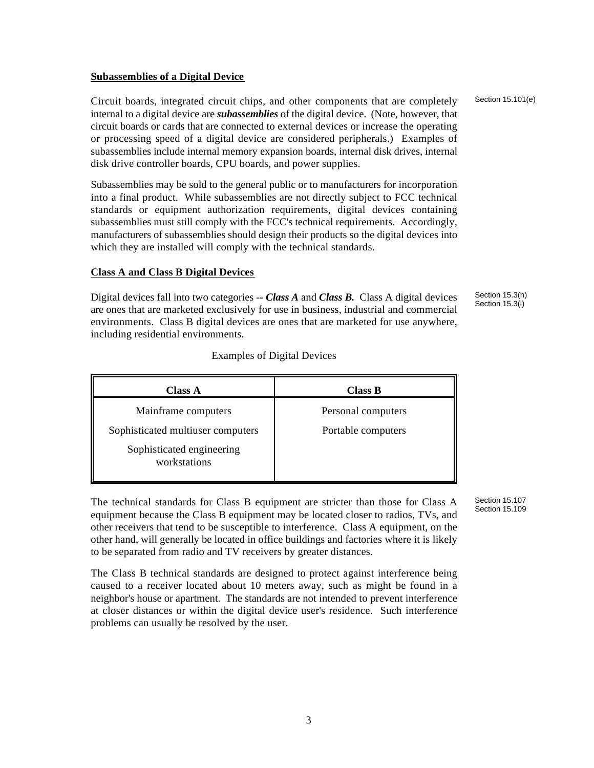#### **Subassemblies of a Digital Device**

Circuit boards, integrated circuit chips, and other components that are completely internal to a digital device are *subassemblies* of the digital device. (Note, however, that circuit boards or cards that are connected to external devices or increase the operating or processing speed of a digital device are considered peripherals.) Examples of subassemblies include internal memory expansion boards, internal disk drives, internal disk drive controller boards, CPU boards, and power supplies.

Subassemblies may be sold to the general public or to manufacturers for incorporation into a final product. While subassemblies are not directly subject to FCC technical standards or equipment authorization requirements, digital devices containing subassemblies must still comply with the FCC's technical requirements. Accordingly, manufacturers of subassemblies should design their products so the digital devices into which they are installed will comply with the technical standards.

#### **Class A and Class B Digital Devices**

Digital devices fall into two categories -- *Class A* and *Class B.* Class A digital devices are ones that are marketed exclusively for use in business, industrial and commercial environments. Class B digital devices are ones that are marketed for use anywhere, including residential environments.

Section 15.3(h) Section 15.3(i)

| <b>Class A</b>                            | <b>Class B</b>     |
|-------------------------------------------|--------------------|
| Mainframe computers                       | Personal computers |
| Sophisticated multiuser computers         | Portable computers |
| Sophisticated engineering<br>workstations |                    |

#### Examples of Digital Devices

The technical standards for Class B equipment are stricter than those for Class A equipment because the Class B equipment may be located closer to radios, TVs, and other receivers that tend to be susceptible to interference. Class A equipment, on the other hand, will generally be located in office buildings and factories where it is likely to be separated from radio and TV receivers by greater distances.

The Class B technical standards are designed to protect against interference being caused to a receiver located about 10 meters away, such as might be found in a neighbor's house or apartment. The standards are not intended to prevent interference at closer distances or within the digital device user's residence. Such interference problems can usually be resolved by the user.

Section 15.107 Section 15.109

Section 15.101(e)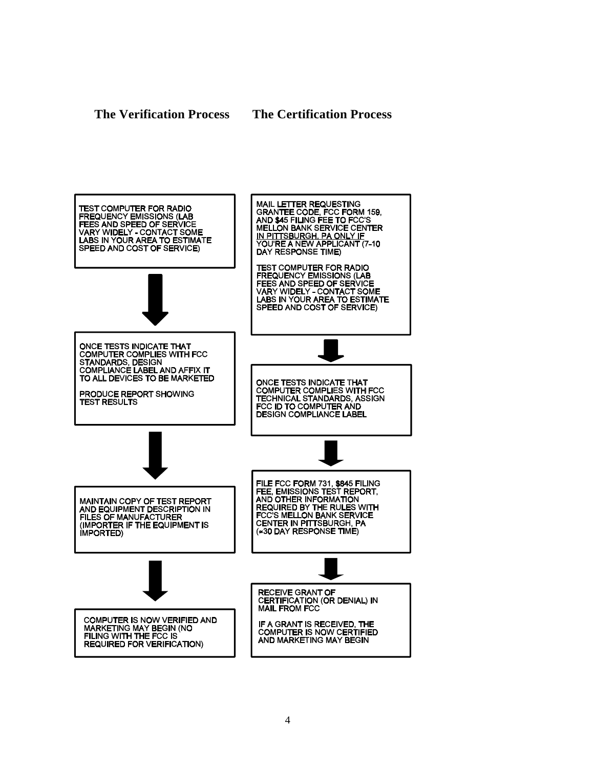**The Verification Process The Certification Process**

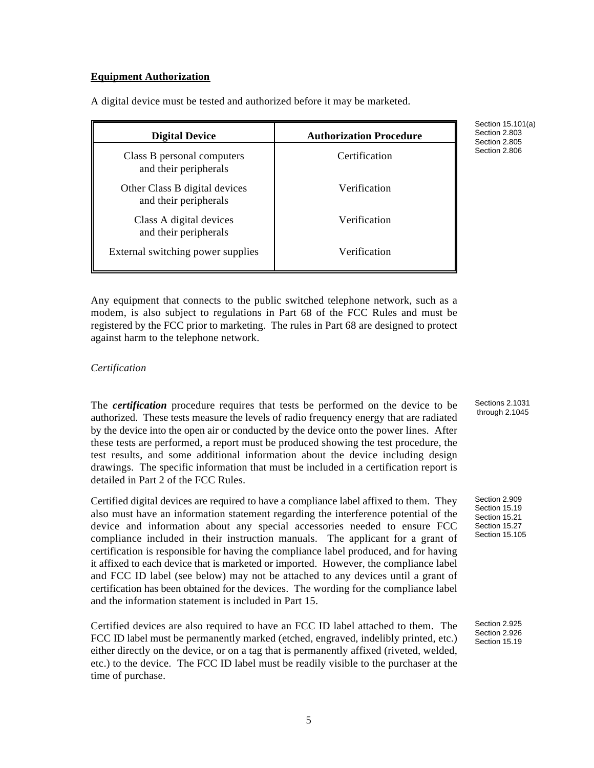#### **Equipment Authorization**

| <b>Digital Device</b>                                  | <b>Authorization Procedure</b> |
|--------------------------------------------------------|--------------------------------|
| Class B personal computers<br>and their peripherals    | Certification                  |
| Other Class B digital devices<br>and their peripherals | Verification                   |
| Class A digital devices<br>and their peripherals       | Verification                   |
| External switching power supplies                      | Verification                   |

A digital device must be tested and authorized before it may be marketed.

Any equipment that connects to the public switched telephone network, such as a modem, is also subject to regulations in Part 68 of the FCC Rules and must be registered by the FCC prior to marketing. The rules in Part 68 are designed to protect against harm to the telephone network.

#### *Certification*

The *certification* procedure requires that tests be performed on the device to be authorized. These tests measure the levels of radio frequency energy that are radiated by the device into the open air or conducted by the device onto the power lines. After these tests are performed, a report must be produced showing the test procedure, the test results, and some additional information about the device including design drawings. The specific information that must be included in a certification report is detailed in Part 2 of the FCC Rules.

Certified digital devices are required to have a compliance label affixed to them. They also must have an information statement regarding the interference potential of the device and information about any special accessories needed to ensure FCC compliance included in their instruction manuals. The applicant for a grant of certification is responsible for having the compliance label produced, and for having it affixed to each device that is marketed or imported. However, the compliance label and FCC ID label (see below) may not be attached to any devices until a grant of certification has been obtained for the devices. The wording for the compliance label and the information statement is included in Part 15.

Certified devices are also required to have an FCC ID label attached to them. The FCC ID label must be permanently marked (etched, engraved, indelibly printed, etc.) either directly on the device, or on a tag that is permanently affixed (riveted, welded, etc.) to the device. The FCC ID label must be readily visible to the purchaser at the time of purchase.

Section 15.101(a) Section 2.803 Section 2.805 Section 2.806

Section 2.909 Section 15.19 Section 15.21 Section 15.27 Section 15.105

Sections 2.1031 through 2.1045

Section 2.925 Section 2.926 Section 15.19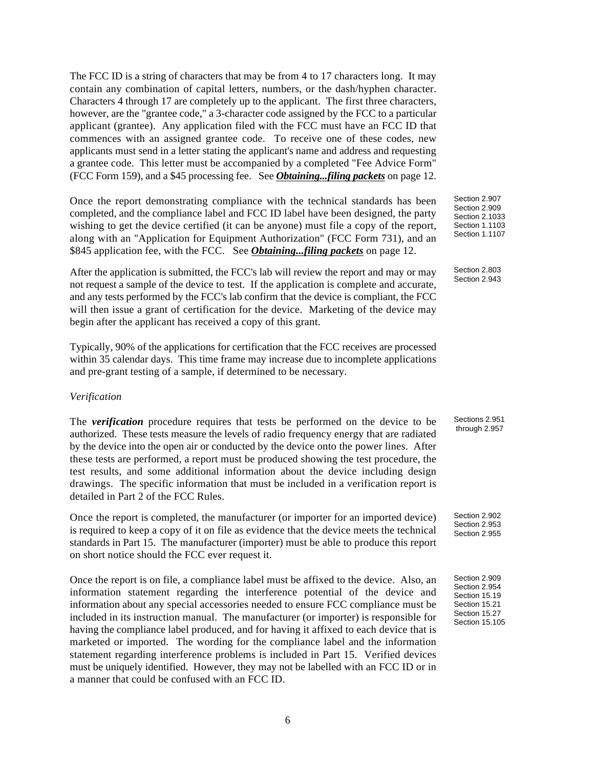The FCC ID is a string of characters that may be from 4 to 17 characters long. It may contain any combination of capital letters, numbers, or the dash/hyphen character. Characters 4 through 17 are completely up to the applicant. The first three characters, however, are the "grantee code," a 3-character code assigned by the FCC to a particular applicant (grantee). Any application filed with the FCC must have an FCC ID that commences with an assigned grantee code. To receive one of these codes, new applicants must send in a letter stating the applicant's name and address and requesting a grantee code. This letter must be accompanied by a completed "Fee Advice Form" (FCC Form 159), and a \$45 processing fee. See *Obtaining...filing packets* on page 12.

Once the report demonstrating compliance with the technical standards has been completed, and the compliance label and FCC ID label have been designed, the party wishing to get the device certified (it can be anyone) must file a copy of the report, along with an "Application for Equipment Authorization" (FCC Form 731), and an \$845 application fee, with the FCC. See *Obtaining...filing packets* on page 12.

After the application is submitted, the FCC's lab will review the report and may or may not request a sample of the device to test. If the application is complete and accurate, and any tests performed by the FCC's lab confirm that the device is compliant, the FCC will then issue a grant of certification for the device. Marketing of the device may begin after the applicant has received a copy of this grant.

Typically, 90% of the applications for certification that the FCC receives are processed within 35 calendar days. This time frame may increase due to incomplete applications and pre-grant testing of a sample, if determined to be necessary.

#### *Verification*

The *verification* procedure requires that tests be performed on the device to be authorized. These tests measure the levels of radio frequency energy that are radiated by the device into the open air or conducted by the device onto the power lines. After these tests are performed, a report must be produced showing the test procedure, the test results, and some additional information about the device including design drawings. The specific information that must be included in a verification report is detailed in Part 2 of the FCC Rules.

Once the report is completed, the manufacturer (or importer for an imported device) is required to keep a copy of it on file as evidence that the device meets the technical standards in Part 15. The manufacturer (importer) must be able to produce this report on short notice should the FCC ever request it.

Once the report is on file, a compliance label must be affixed to the device. Also, an information statement regarding the interference potential of the device and information about any special accessories needed to ensure FCC compliance must be included in its instruction manual. The manufacturer (or importer) is responsible for having the compliance label produced, and for having it affixed to each device that is marketed or imported. The wording for the compliance label and the information statement regarding interference problems is included in Part 15. Verified devices must be uniquely identified. However, they may not be labelled with an FCC ID or in a manner that could be confused with an FCC ID.

Section 2.907 Section 2.909 Section 2.1033 Section 1.1103 Section 1.1107

Section 2.803 Section 2.943

Sections 2.951 through 2.957

Section 2.902 Section 2.953 Section 2.955

Section 2.909 Section 2.954 Section 15.19 Section 15.21 Section 15.27 Section 15.105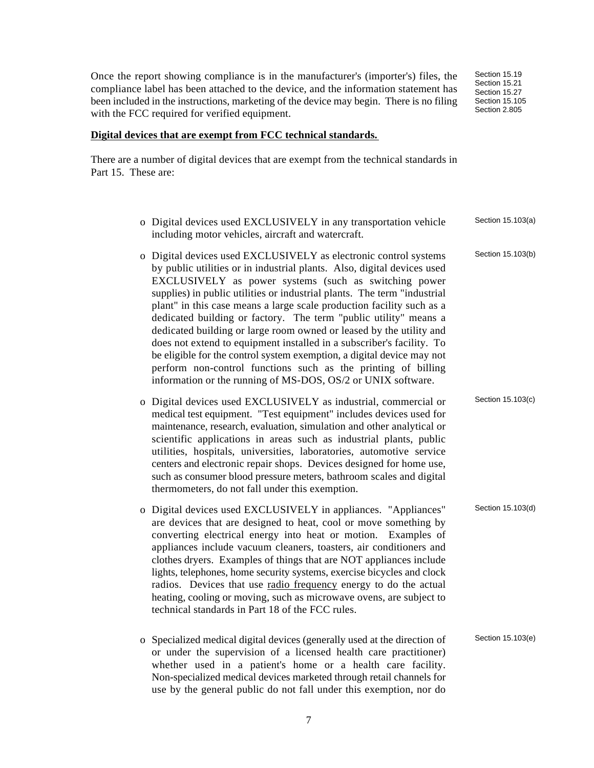7

Once the report showing compliance is in the manufacturer's (importer's) files, the compliance label has been attached to the device, and the information statement has been included in the instructions, marketing of the device may begin. There is no filing with the FCC required for verified equipment.

#### **Digital devices that are exempt from FCC technical standards.**

There are a number of digital devices that are exempt from the technical standards in Part 15. These are:

| o Digital devices used EXCLUSIVELY in any transportation vehicle<br>including motor vehicles, aircraft and watercraft.                                                                                                                                                                                                                                                                                                                                                                                                                                                                                                                                                                                                                                                                   | Section 15.103(a) |
|------------------------------------------------------------------------------------------------------------------------------------------------------------------------------------------------------------------------------------------------------------------------------------------------------------------------------------------------------------------------------------------------------------------------------------------------------------------------------------------------------------------------------------------------------------------------------------------------------------------------------------------------------------------------------------------------------------------------------------------------------------------------------------------|-------------------|
| o Digital devices used EXCLUSIVELY as electronic control systems<br>by public utilities or in industrial plants. Also, digital devices used<br>EXCLUSIVELY as power systems (such as switching power<br>supplies) in public utilities or industrial plants. The term "industrial<br>plant" in this case means a large scale production facility such as a<br>dedicated building or factory. The term "public utility" means a<br>dedicated building or large room owned or leased by the utility and<br>does not extend to equipment installed in a subscriber's facility. To<br>be eligible for the control system exemption, a digital device may not<br>perform non-control functions such as the printing of billing<br>information or the running of MS-DOS, OS/2 or UNIX software. | Section 15.103(b) |
| o Digital devices used EXCLUSIVELY as industrial, commercial or<br>medical test equipment. "Test equipment" includes devices used for<br>maintenance, research, evaluation, simulation and other analytical or<br>scientific applications in areas such as industrial plants, public<br>utilities, hospitals, universities, laboratories, automotive service<br>centers and electronic repair shops. Devices designed for home use,<br>such as consumer blood pressure meters, bathroom scales and digital<br>thermometers, do not fall under this exemption.                                                                                                                                                                                                                            | Section 15.103(c) |
| o Digital devices used EXCLUSIVELY in appliances. "Appliances"<br>are devices that are designed to heat, cool or move something by<br>converting electrical energy into heat or motion. Examples of<br>appliances include vacuum cleaners, toasters, air conditioners and<br>clothes dryers. Examples of things that are NOT appliances include<br>lights, telephones, home security systems, exercise bicycles and clock<br>radios. Devices that use radio frequency energy to do the actual<br>heating, cooling or moving, such as microwave ovens, are subject to<br>technical standards in Part 18 of the FCC rules.                                                                                                                                                                 | Section 15.103(d) |
| o Specialized medical digital devices (generally used at the direction of<br>or under the supervision of a licensed health care practitioner)<br>whether used in a patient's home or a health care facility.<br>Non-specialized medical devices marketed through retail channels for<br>use by the general public do not fall under this exemption, nor do                                                                                                                                                                                                                                                                                                                                                                                                                               | Section 15.103(e) |

Section 15.19 Section 15.21 Section 15.27 Section 15.105 Section 2.805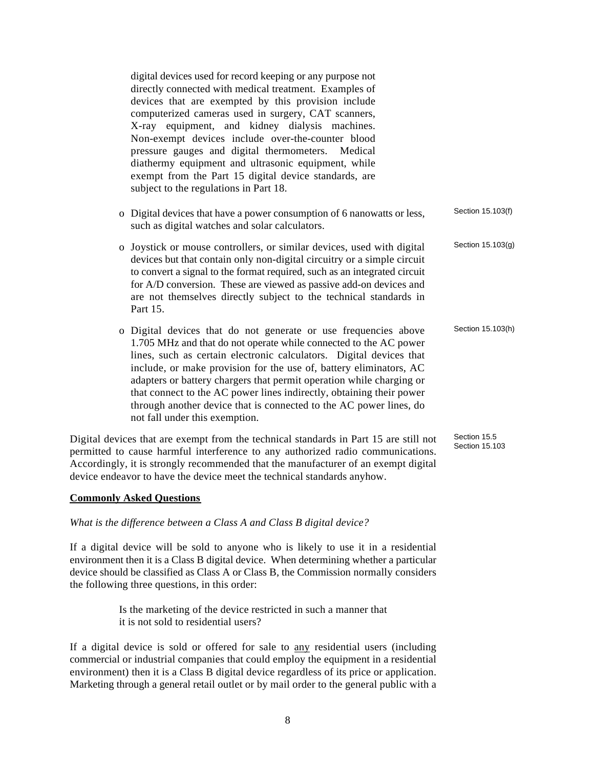digital devices used for record keeping or any purpose not directly connected with medical treatment. Examples of devices that are exempted by this provision include computerized cameras used in surgery, CAT scanners, X-ray equipment, and kidney dialysis machines. Non-exempt devices include over-the-counter blood pressure gauges and digital thermometers. Medical diathermy equipment and ultrasonic equipment, while exempt from the Part 15 digital device standards, are subject to the regulations in Part 18.

- o Digital devices that have a power consumption of 6 nanowatts or less, such as digital watches and solar calculators. Section 15.103(f)
- o Joystick or mouse controllers, or similar devices, used with digital devices but that contain only non-digital circuitry or a simple circuit to convert a signal to the format required, such as an integrated circuit for A/D conversion. These are viewed as passive add-on devices and are not themselves directly subject to the technical standards in Part 15. Section 15.103(g)
- o Digital devices that do not generate or use frequencies above 1.705 MHz and that do not operate while connected to the AC power lines, such as certain electronic calculators. Digital devices that include, or make provision for the use of, battery eliminators, AC adapters or battery chargers that permit operation while charging or that connect to the AC power lines indirectly, obtaining their power through another device that is connected to the AC power lines, do not fall under this exemption. Section 15.103(h)

Digital devices that are exempt from the technical standards in Part 15 are still not permitted to cause harmful interference to any authorized radio communications. Accordingly, it is strongly recommended that the manufacturer of an exempt digital device endeavor to have the device meet the technical standards anyhow. Section 15.5 Section 15.103

#### **Commonly Asked Questions**

#### *What is the difference between a Class A and Class B digital device?*

If a digital device will be sold to anyone who is likely to use it in a residential environment then it is a Class B digital device. When determining whether a particular device should be classified as Class A or Class B, the Commission normally considers the following three questions, in this order:

> Is the marketing of the device restricted in such a manner that it is not sold to residential users?

If a digital device is sold or offered for sale to any residential users (including commercial or industrial companies that could employ the equipment in a residential environment) then it is a Class B digital device regardless of its price or application. Marketing through a general retail outlet or by mail order to the general public with a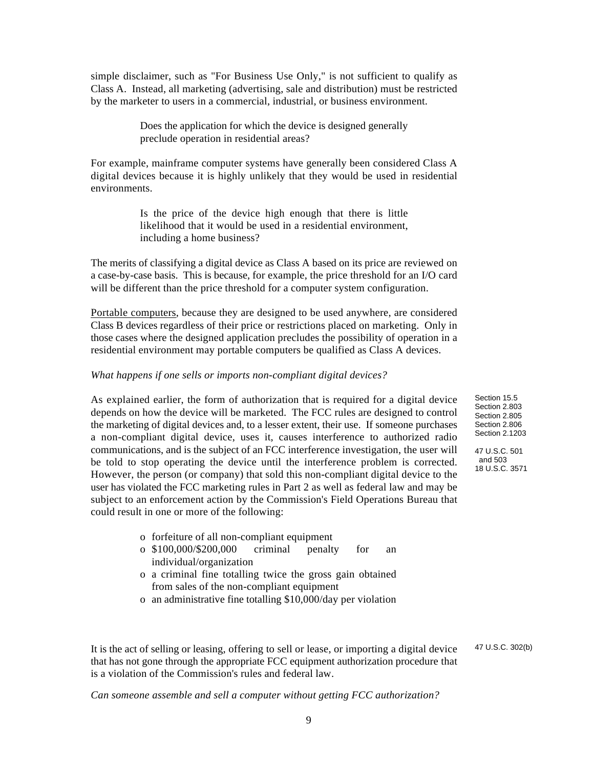simple disclaimer, such as "For Business Use Only," is not sufficient to qualify as Class A. Instead, all marketing (advertising, sale and distribution) must be restricted by the marketer to users in a commercial, industrial, or business environment.

> Does the application for which the device is designed generally preclude operation in residential areas?

For example, mainframe computer systems have generally been considered Class A digital devices because it is highly unlikely that they would be used in residential environments.

> Is the price of the device high enough that there is little likelihood that it would be used in a residential environment, including a home business?

The merits of classifying a digital device as Class A based on its price are reviewed on a case-by-case basis. This is because, for example, the price threshold for an I/O card will be different than the price threshold for a computer system configuration.

Portable computers, because they are designed to be used anywhere, are considered Class B devices regardless of their price or restrictions placed on marketing. Only in those cases where the designed application precludes the possibility of operation in a residential environment may portable computers be qualified as Class A devices.

#### *What happens if one sells or imports non-compliant digital devices?*

As explained earlier, the form of authorization that is required for a digital device depends on how the device will be marketed. The FCC rules are designed to control the marketing of digital devices and, to a lesser extent, their use. If someone purchases a non-compliant digital device, uses it, causes interference to authorized radio communications, and is the subject of an FCC interference investigation, the user will be told to stop operating the device until the interference problem is corrected. However, the person (or company) that sold this non-compliant digital device to the user has violated the FCC marketing rules in Part 2 as well as federal law and may be subject to an enforcement action by the Commission's Field Operations Bureau that could result in one or more of the following:

- o forfeiture of all non-compliant equipment
- o \$100,000/\$200,000 criminal penalty for an individual/organization
- o a criminal fine totalling twice the gross gain obtained from sales of the non-compliant equipment
- o an administrative fine totalling \$10,000/day per violation

It is the act of selling or leasing, offering to sell or lease, or importing a digital device that has not gone through the appropriate FCC equipment authorization procedure that is a violation of the Commission's rules and federal law.

*Can someone assemble and sell a computer without getting FCC authorization?*

Section 15.5 Section 2.803 Section 2.805 Section 2.806 Section 2.1203 47 U.S.C. 501 and 503 18 U.S.C. 3571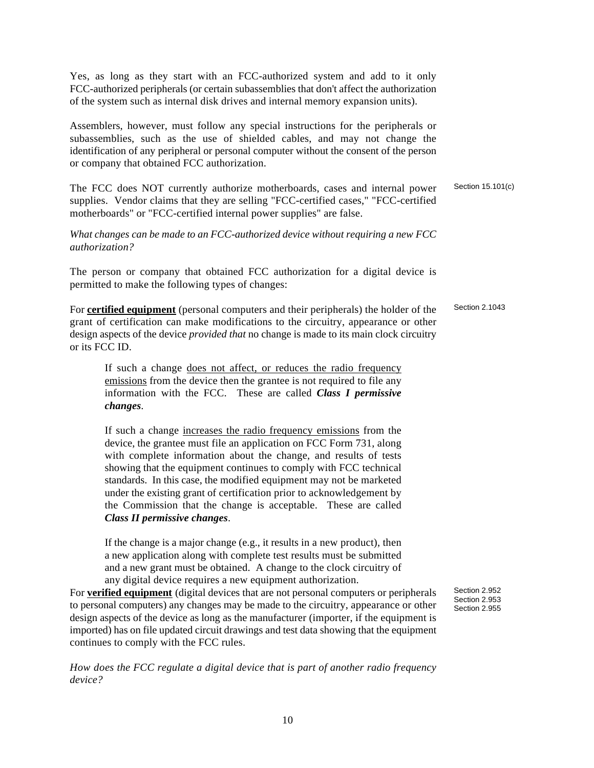Yes, as long as they start with an FCC-authorized system and add to it only FCC-authorized peripherals (or certain subassemblies that don't affect the authorization of the system such as internal disk drives and internal memory expansion units).

Assemblers, however, must follow any special instructions for the peripherals or subassemblies, such as the use of shielded cables, and may not change the identification of any peripheral or personal computer without the consent of the person or company that obtained FCC authorization.

The FCC does NOT currently authorize motherboards, cases and internal power supplies. Vendor claims that they are selling "FCC-certified cases," "FCC-certified motherboards" or "FCC-certified internal power supplies" are false.

*What changes can be made to an FCC-authorized device without requiring a new FCC authorization?*

The person or company that obtained FCC authorization for a digital device is permitted to make the following types of changes:

For **certified equipment** (personal computers and their peripherals) the holder of the grant of certification can make modifications to the circuitry, appearance or other design aspects of the device *provided that* no change is made to its main clock circuitry or its FCC ID.

If such a change does not affect, or reduces the radio frequency emissions from the device then the grantee is not required to file any information with the FCC. These are called *Class I permissive changes*.

If such a change increases the radio frequency emissions from the device, the grantee must file an application on FCC Form 731, along with complete information about the change, and results of tests showing that the equipment continues to comply with FCC technical standards. In this case, the modified equipment may not be marketed under the existing grant of certification prior to acknowledgement by the Commission that the change is acceptable. These are called *Class II permissive changes*.

If the change is a major change (e.g., it results in a new product), then a new application along with complete test results must be submitted and a new grant must be obtained. A change to the clock circuitry of any digital device requires a new equipment authorization.

For **verified equipment** (digital devices that are not personal computers or peripherals to personal computers) any changes may be made to the circuitry, appearance or other design aspects of the device as long as the manufacturer (importer, if the equipment is imported) has on file updated circuit drawings and test data showing that the equipment continues to comply with the FCC rules.

*How does the FCC regulate a digital device that is part of another radio frequency device?*

Section 15.101(c)

Section 2.1043

Section 2.952 Section 2.953 Section 2.955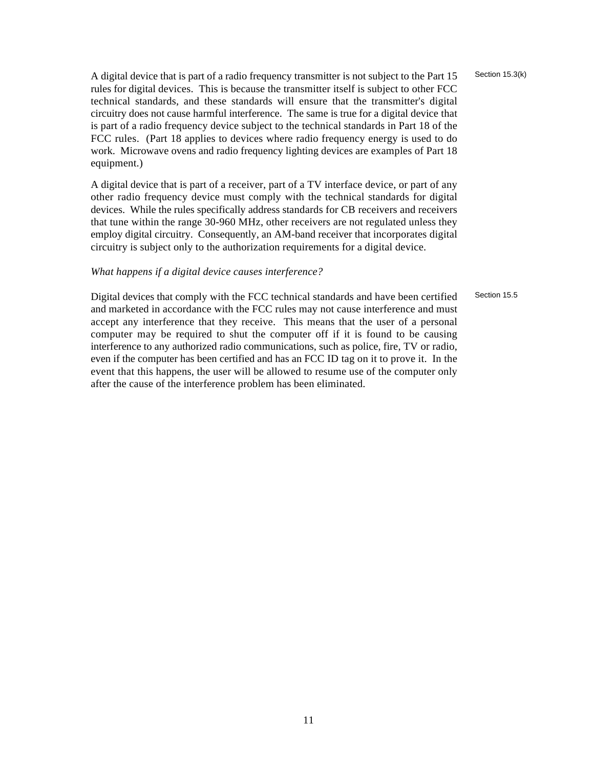A digital device that is part of a radio frequency transmitter is not subject to the Part 15 rules for digital devices. This is because the transmitter itself is subject to other FCC technical standards, and these standards will ensure that the transmitter's digital circuitry does not cause harmful interference. The same is true for a digital device that is part of a radio frequency device subject to the technical standards in Part 18 of the FCC rules. (Part 18 applies to devices where radio frequency energy is used to do work. Microwave ovens and radio frequency lighting devices are examples of Part 18 equipment.)

A digital device that is part of a receiver, part of a TV interface device, or part of any other radio frequency device must comply with the technical standards for digital devices. While the rules specifically address standards for CB receivers and receivers that tune within the range 30-960 MHz, other receivers are not regulated unless they employ digital circuitry. Consequently, an AM-band receiver that incorporates digital circuitry is subject only to the authorization requirements for a digital device.

#### *What happens if a digital device causes interference?*

Section 15.5

Digital devices that comply with the FCC technical standards and have been certified and marketed in accordance with the FCC rules may not cause interference and must accept any interference that they receive. This means that the user of a personal computer may be required to shut the computer off if it is found to be causing interference to any authorized radio communications, such as police, fire, TV or radio, even if the computer has been certified and has an FCC ID tag on it to prove it. In the event that this happens, the user will be allowed to resume use of the computer only after the cause of the interference problem has been eliminated.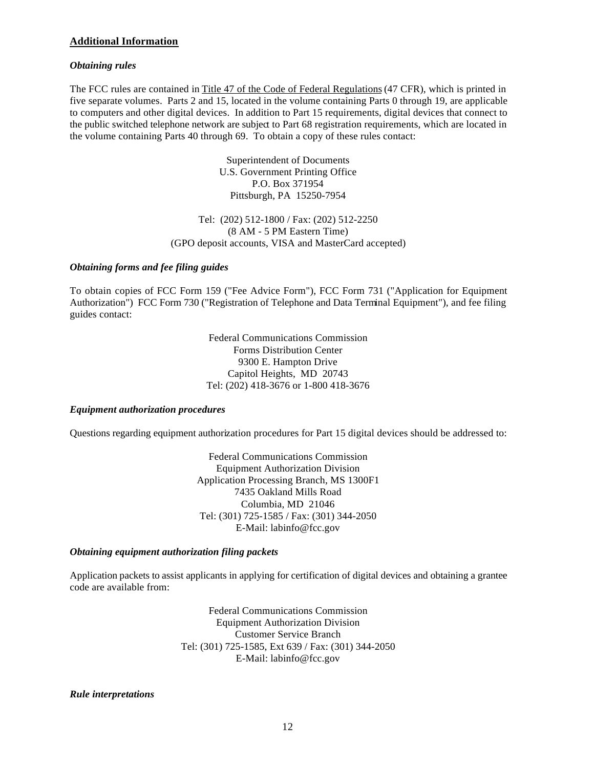#### **Additional Information**

#### *Obtaining rules*

The FCC rules are contained in Title 47 of the Code of Federal Regulations (47 CFR), which is printed in five separate volumes. Parts 2 and 15, located in the volume containing Parts 0 through 19, are applicable to computers and other digital devices. In addition to Part 15 requirements, digital devices that connect to the public switched telephone network are subject to Part 68 registration requirements, which are located in the volume containing Parts 40 through 69. To obtain a copy of these rules contact:

> Superintendent of Documents U.S. Government Printing Office P.O. Box 371954 Pittsburgh, PA 15250-7954

Tel: (202) 512-1800 / Fax: (202) 512-2250 (8 AM - 5 PM Eastern Time) (GPO deposit accounts, VISA and MasterCard accepted)

#### *Obtaining forms and fee filing guides*

To obtain copies of FCC Form 159 ("Fee Advice Form"), FCC Form 731 ("Application for Equipment Authorization") FCC Form 730 ("Registration of Telephone and Data Terminal Equipment"), and fee filing guides contact:

> Federal Communications Commission Forms Distribution Center 9300 E. Hampton Drive Capitol Heights, MD 20743 Tel: (202) 418-3676 or 1-800 418-3676

#### *Equipment authorization procedures*

Questions regarding equipment authorization procedures for Part 15 digital devices should be addressed to:

Federal Communications Commission Equipment Authorization Division Application Processing Branch, MS 1300F1 7435 Oakland Mills Road Columbia, MD 21046 Tel: (301) 725-1585 / Fax: (301) 344-2050 E-Mail: labinfo@fcc.gov

#### *Obtaining equipment authorization filing packets*

Application packets to assist applicants in applying for certification of digital devices and obtaining a grantee code are available from:

> Federal Communications Commission Equipment Authorization Division Customer Service Branch Tel: (301) 725-1585, Ext 639 / Fax: (301) 344-2050 E-Mail: labinfo@fcc.gov

#### *Rule interpretations*